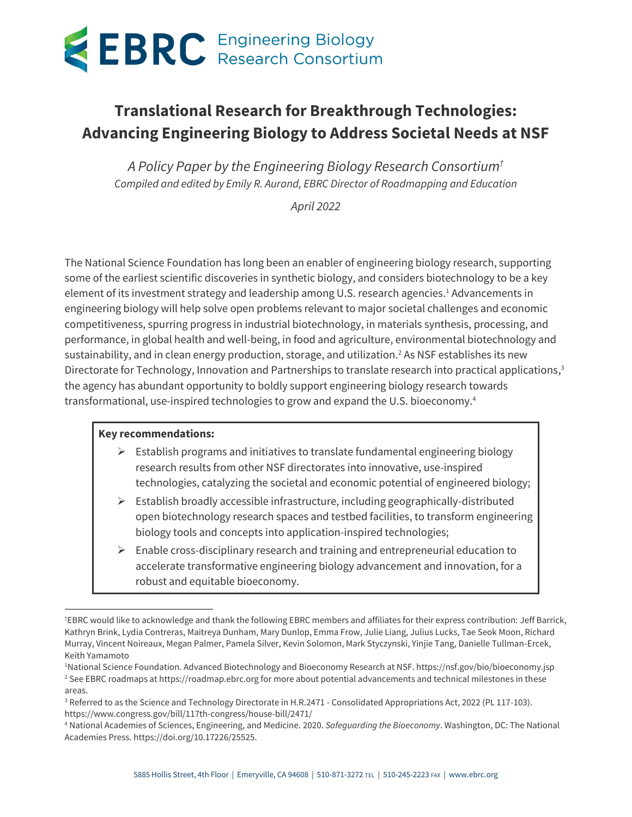

# **Translational Research for Breakthrough Technologies: Advancing Engineering Biology to Address Societal Needs at NSF**

*A Policy Paper by the Engineering Biology Research Consortium† Compiled and edited by Emily R. Aurand, EBRC Director of Roadmapping and Education*

*April 2022*

The National Science Foundation has long been an enabler of engineering biology research, supporting some of the earliest scientific discoveries in synthetic biology, and considers biotechnology to be a key element of its investment strategy and leadership among U.S. research agencies.<sup>1</sup> Advancements in engineering biology will help solve open problems relevant to major societal challenges and economic competitiveness, spurring progress in industrial biotechnology, in materials synthesis, processing, and performance, in global health and well-being, in food and agriculture, environmental biotechnology and sustainability, and in clean energy production, storage, and utilization.<sup>2</sup> As NSF establishes its new Directorate for Technology, Innovation and Partnerships to translate research into practical applications,<sup>3</sup> the agency has abundant opportunity to boldly support engineering biology research towards transformational, use-inspired technologies to grow and expand the U.S. bioeconomy.<sup>4</sup>

#### **Key recommendations:**

- $\triangleright$  Establish programs and initiatives to translate fundamental engineering biology research results from other NSF directorates into innovative, use-inspired technologies, catalyzing the societal and economic potential of engineered biology;
- $\triangleright$  Establish broadly accessible infrastructure, including geographically-distributed open biotechnology research spaces and testbed facilities, to transform engineering biology tools and concepts into application-inspired technologies;
- $\triangleright$  Enable cross-disciplinary research and training and entrepreneurial education to accelerate transformative engineering biology advancement and innovation, for a robust and equitable bioeconomy.

<sup>†</sup>EBRC would like to acknowledge and thank the following EBRC members and affiliates for their express contribution: Jeff Barrick, Kathryn Brink, Lydia Contreras, Maitreya Dunham, Mary Dunlop, Emma Frow, Julie Liang, Julius Lucks, Tae Seok Moon, Richard Murray, Vincent Noireaux, Megan Palmer, Pamela Silver, Kevin Solomon, Mark Styczynski, Yinjie Tang, Danielle Tullman-Ercek, Keith Yamamoto

<sup>1</sup>National Science Foundation. Advanced Biotechnology and Bioeconomy Research at NSF. https://nsf.gov/bio/bioeconomy.jsp <sup>2</sup> See EBRC roadmaps at https://roadmap.ebrc.org for more about potential advancements and technical milestones in these areas.

<sup>&</sup>lt;sup>3</sup> Referred to as the Science and Technology Directorate in H.R.2471 - Consolidated Appropriations Act, 2022 (PL 117-103). https://www.congress.gov/bill/117th-congress/house-bill/2471/

<sup>4</sup> National Academies of Sciences, Engineering, and Medicine. 2020. *Safeguarding the Bioeconomy*. Washington, DC: The National Academies Press. https://doi.org/10.17226/25525.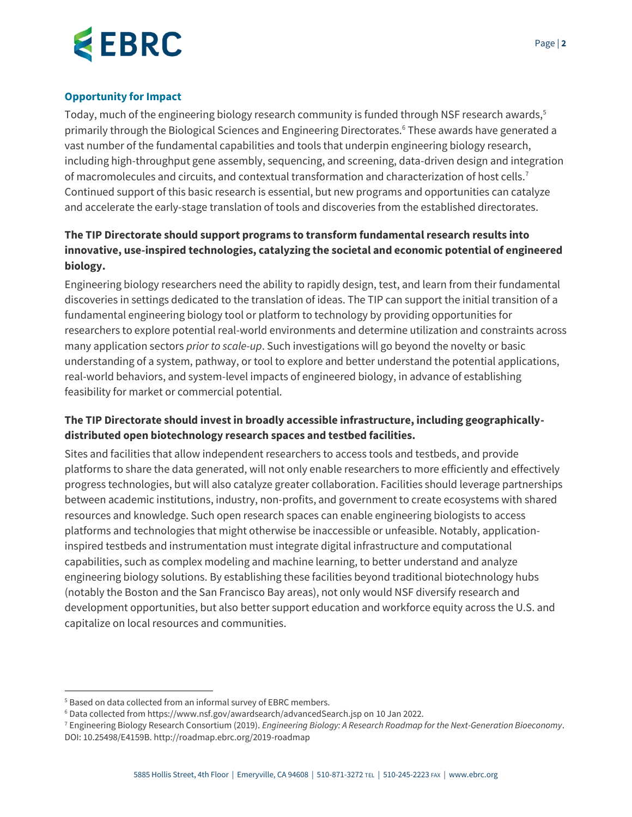

### **Opportunity for Impact**

Today, much of the engineering biology research community is funded through NSF research awards,<sup>5</sup> primarily through the Biological Sciences and Engineering Directorates.<sup>6</sup> These awards have generated a vast number of the fundamental capabilities and tools that underpin engineering biology research, including high-throughput gene assembly, sequencing, and screening, data-driven design and integration of macromolecules and circuits, and contextual transformation and characterization of host cells.<sup>7</sup> Continued support of this basic research is essential, but new programs and opportunities can catalyze and accelerate the early-stage translation of tools and discoveries from the established directorates.

## **The TIP Directorate should support programs to transform fundamental research results into innovative, use-inspired technologies, catalyzing the societal and economic potential of engineered biology.**

Engineering biology researchers need the ability to rapidly design, test, and learn from their fundamental discoveries in settings dedicated to the translation of ideas. The TIP can support the initial transition of a fundamental engineering biology tool or platform to technology by providing opportunities for researchers to explore potential real-world environments and determine utilization and constraints across many application sectors *prior to scale-up*. Such investigations will go beyond the novelty or basic understanding of a system, pathway, or tool to explore and better understand the potential applications, real-world behaviors, and system-level impacts of engineered biology, in advance of establishing feasibility for market or commercial potential.

# **The TIP Directorate should invest in broadly accessible infrastructure, including geographicallydistributed open biotechnology research spaces and testbed facilities.**

Sites and facilities that allow independent researchers to access tools and testbeds, and provide platforms to share the data generated, will not only enable researchers to more efficiently and effectively progress technologies, but will also catalyze greater collaboration. Facilities should leverage partnerships between academic institutions, industry, non-profits, and government to create ecosystems with shared resources and knowledge. Such open research spaces can enable engineering biologists to access platforms and technologies that might otherwise be inaccessible or unfeasible. Notably, applicationinspired testbeds and instrumentation must integrate digital infrastructure and computational capabilities, such as complex modeling and machine learning, to better understand and analyze engineering biology solutions. By establishing these facilities beyond traditional biotechnology hubs (notably the Boston and the San Francisco Bay areas), not only would NSF diversify research and development opportunities, but also better support education and workforce equity across the U.S. and capitalize on local resources and communities.

<sup>5</sup> Based on data collected from an informal survey of EBRC members.

<sup>6</sup> Data collected from https://www.nsf.gov/awardsearch/advancedSearch.jsp on 10 Jan 2022.

<sup>7</sup> Engineering Biology Research Consortium (2019). *Engineering Biology: A Research Roadmap for the Next-Generation Bioeconomy*. DOI: 10.25498/E4159B. http://roadmap.ebrc.org/2019-roadmap